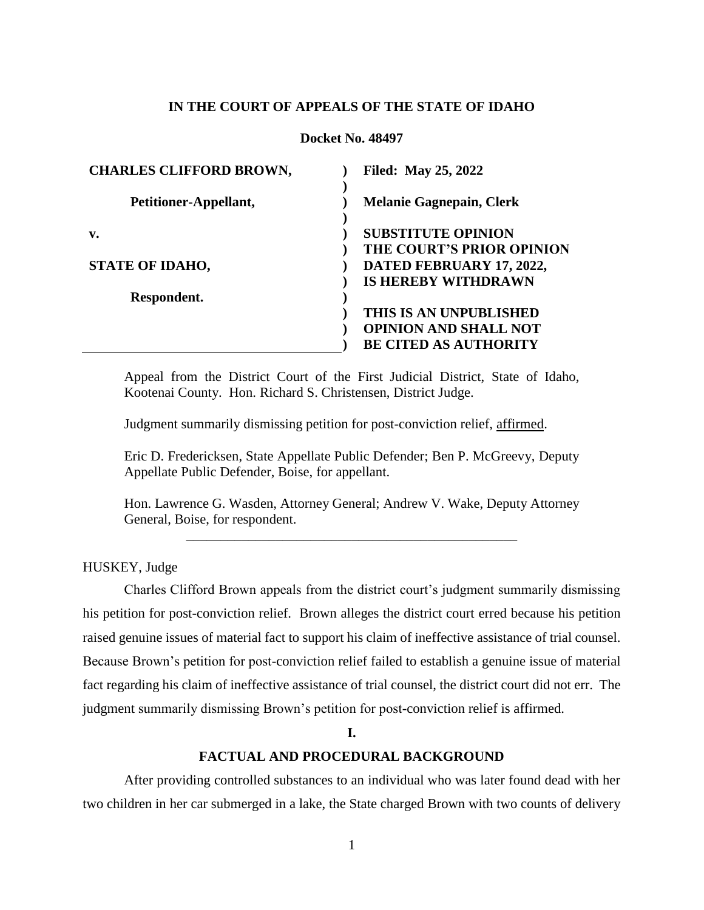## **IN THE COURT OF APPEALS OF THE STATE OF IDAHO**

#### **Docket No. 48497**

| <b>CHARLES CLIFFORD BROWN,</b> | <b>Filed: May 25, 2022</b>      |
|--------------------------------|---------------------------------|
| Petitioner-Appellant,          | <b>Melanie Gagnepain, Clerk</b> |
| v.                             | <b>SUBSTITUTE OPINION</b>       |
|                                | THE COURT'S PRIOR OPINION       |
| <b>STATE OF IDAHO,</b>         | DATED FEBRUARY 17, 2022,        |
|                                | <b>IS HEREBY WITHDRAWN</b>      |
| Respondent.                    |                                 |
|                                | THIS IS AN UNPUBLISHED          |
|                                | <b>OPINION AND SHALL NOT</b>    |
|                                | <b>BE CITED AS AUTHORITY</b>    |

Appeal from the District Court of the First Judicial District, State of Idaho, Kootenai County. Hon. Richard S. Christensen, District Judge.

Judgment summarily dismissing petition for post-conviction relief, affirmed.

Eric D. Fredericksen, State Appellate Public Defender; Ben P. McGreevy, Deputy Appellate Public Defender, Boise, for appellant.

Hon. Lawrence G. Wasden, Attorney General; Andrew V. Wake, Deputy Attorney General, Boise, for respondent. \_\_\_\_\_\_\_\_\_\_\_\_\_\_\_\_\_\_\_\_\_\_\_\_\_\_\_\_\_\_\_\_\_\_\_\_\_\_\_\_\_\_\_\_\_\_\_\_

HUSKEY, Judge

Charles Clifford Brown appeals from the district court's judgment summarily dismissing his petition for post-conviction relief. Brown alleges the district court erred because his petition raised genuine issues of material fact to support his claim of ineffective assistance of trial counsel. Because Brown's petition for post-conviction relief failed to establish a genuine issue of material fact regarding his claim of ineffective assistance of trial counsel, the district court did not err. The judgment summarily dismissing Brown's petition for post-conviction relief is affirmed.

**I.**

# **FACTUAL AND PROCEDURAL BACKGROUND**

After providing controlled substances to an individual who was later found dead with her two children in her car submerged in a lake, the State charged Brown with two counts of delivery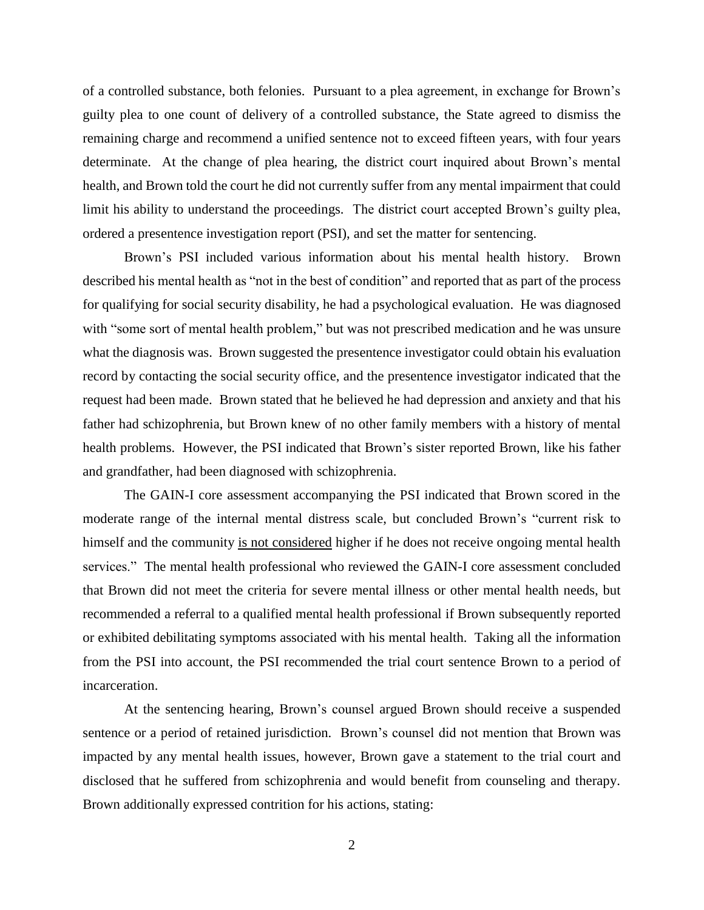of a controlled substance, both felonies. Pursuant to a plea agreement, in exchange for Brown's guilty plea to one count of delivery of a controlled substance, the State agreed to dismiss the remaining charge and recommend a unified sentence not to exceed fifteen years, with four years determinate. At the change of plea hearing, the district court inquired about Brown's mental health, and Brown told the court he did not currently suffer from any mental impairment that could limit his ability to understand the proceedings. The district court accepted Brown's guilty plea, ordered a presentence investigation report (PSI), and set the matter for sentencing.

Brown's PSI included various information about his mental health history. Brown described his mental health as "not in the best of condition" and reported that as part of the process for qualifying for social security disability, he had a psychological evaluation. He was diagnosed with "some sort of mental health problem," but was not prescribed medication and he was unsure what the diagnosis was. Brown suggested the presentence investigator could obtain his evaluation record by contacting the social security office, and the presentence investigator indicated that the request had been made. Brown stated that he believed he had depression and anxiety and that his father had schizophrenia, but Brown knew of no other family members with a history of mental health problems. However, the PSI indicated that Brown's sister reported Brown, like his father and grandfather, had been diagnosed with schizophrenia.

The GAIN-I core assessment accompanying the PSI indicated that Brown scored in the moderate range of the internal mental distress scale, but concluded Brown's "current risk to himself and the community is not considered higher if he does not receive ongoing mental health services." The mental health professional who reviewed the GAIN-I core assessment concluded that Brown did not meet the criteria for severe mental illness or other mental health needs, but recommended a referral to a qualified mental health professional if Brown subsequently reported or exhibited debilitating symptoms associated with his mental health. Taking all the information from the PSI into account, the PSI recommended the trial court sentence Brown to a period of incarceration.

At the sentencing hearing, Brown's counsel argued Brown should receive a suspended sentence or a period of retained jurisdiction. Brown's counsel did not mention that Brown was impacted by any mental health issues, however, Brown gave a statement to the trial court and disclosed that he suffered from schizophrenia and would benefit from counseling and therapy. Brown additionally expressed contrition for his actions, stating: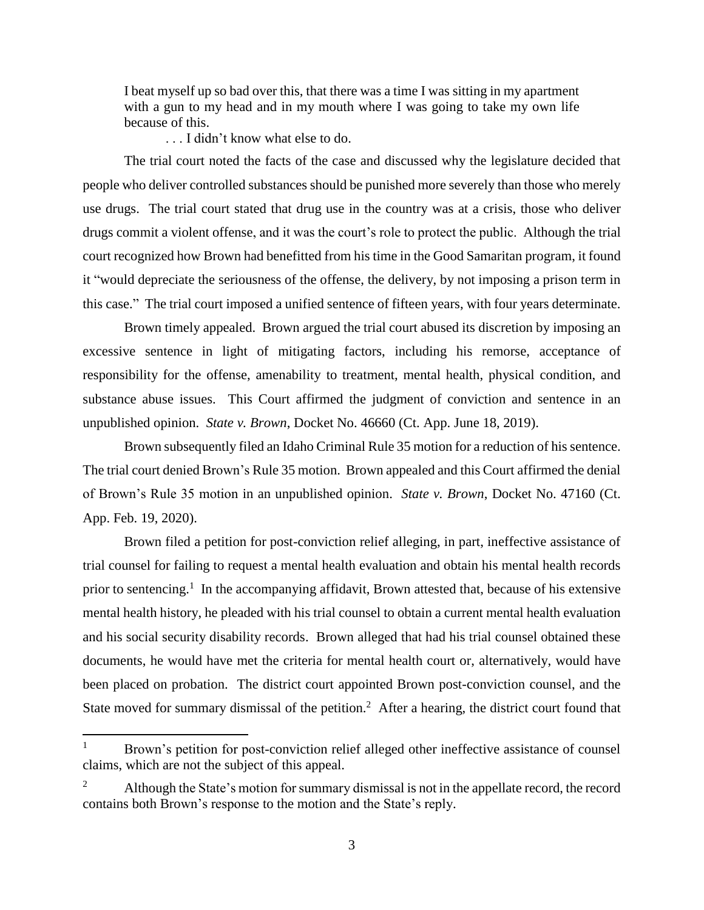I beat myself up so bad over this, that there was a time I was sitting in my apartment with a gun to my head and in my mouth where I was going to take my own life because of this.

. . . I didn't know what else to do.

The trial court noted the facts of the case and discussed why the legislature decided that people who deliver controlled substances should be punished more severely than those who merely use drugs. The trial court stated that drug use in the country was at a crisis, those who deliver drugs commit a violent offense, and it was the court's role to protect the public. Although the trial court recognized how Brown had benefitted from his time in the Good Samaritan program, it found it "would depreciate the seriousness of the offense, the delivery, by not imposing a prison term in this case." The trial court imposed a unified sentence of fifteen years, with four years determinate.

Brown timely appealed. Brown argued the trial court abused its discretion by imposing an excessive sentence in light of mitigating factors, including his remorse, acceptance of responsibility for the offense, amenability to treatment, mental health, physical condition, and substance abuse issues. This Court affirmed the judgment of conviction and sentence in an unpublished opinion. *State v. Brown*, Docket No. 46660 (Ct. App. June 18, 2019).

Brown subsequently filed an Idaho Criminal Rule 35 motion for a reduction of his sentence. The trial court denied Brown's Rule 35 motion. Brown appealed and this Court affirmed the denial of Brown's Rule 35 motion in an unpublished opinion. *State v. Brown*, Docket No. 47160 (Ct. App. Feb. 19, 2020).

Brown filed a petition for post-conviction relief alleging, in part, ineffective assistance of trial counsel for failing to request a mental health evaluation and obtain his mental health records prior to sentencing.<sup>1</sup> In the accompanying affidavit, Brown attested that, because of his extensive mental health history, he pleaded with his trial counsel to obtain a current mental health evaluation and his social security disability records. Brown alleged that had his trial counsel obtained these documents, he would have met the criteria for mental health court or, alternatively, would have been placed on probation. The district court appointed Brown post-conviction counsel, and the State moved for summary dismissal of the petition.<sup>2</sup> After a hearing, the district court found that

 $\overline{a}$ 

Brown's petition for post-conviction relief alleged other ineffective assistance of counsel claims, which are not the subject of this appeal.

<sup>&</sup>lt;sup>2</sup> Although the State's motion for summary dismissal is not in the appellate record, the record contains both Brown's response to the motion and the State's reply.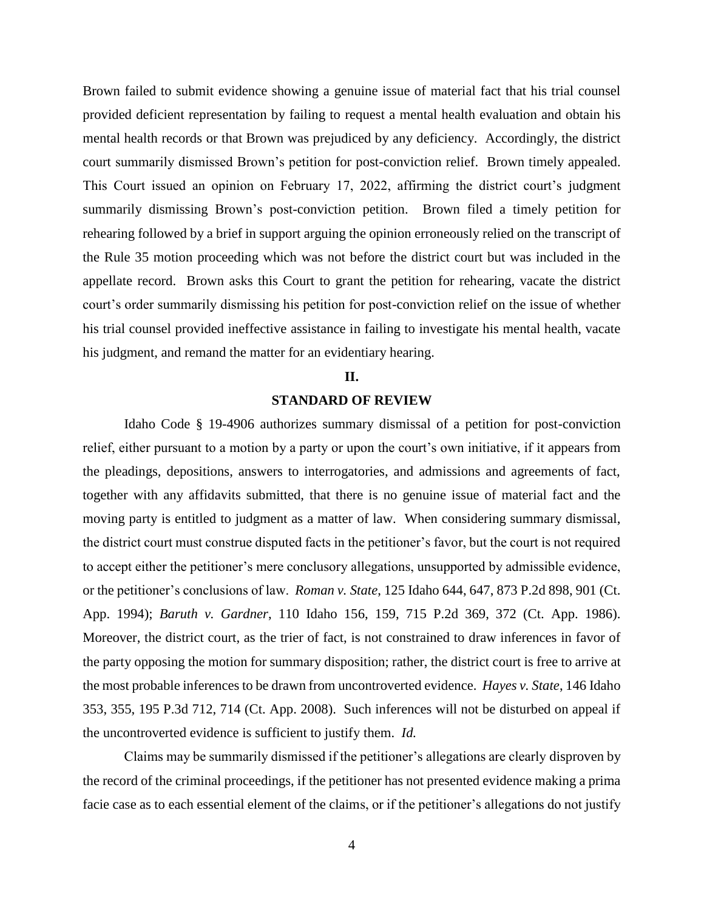Brown failed to submit evidence showing a genuine issue of material fact that his trial counsel provided deficient representation by failing to request a mental health evaluation and obtain his mental health records or that Brown was prejudiced by any deficiency. Accordingly, the district court summarily dismissed Brown's petition for post-conviction relief. Brown timely appealed. This Court issued an opinion on February 17, 2022, affirming the district court's judgment summarily dismissing Brown's post-conviction petition. Brown filed a timely petition for rehearing followed by a brief in support arguing the opinion erroneously relied on the transcript of the Rule 35 motion proceeding which was not before the district court but was included in the appellate record. Brown asks this Court to grant the petition for rehearing, vacate the district court's order summarily dismissing his petition for post-conviction relief on the issue of whether his trial counsel provided ineffective assistance in failing to investigate his mental health, vacate his judgment, and remand the matter for an evidentiary hearing.

#### **II.**

# **STANDARD OF REVIEW**

Idaho Code § 19-4906 authorizes summary dismissal of a petition for post-conviction relief, either pursuant to a motion by a party or upon the court's own initiative, if it appears from the pleadings, depositions, answers to interrogatories, and admissions and agreements of fact, together with any affidavits submitted, that there is no genuine issue of material fact and the moving party is entitled to judgment as a matter of law. When considering summary dismissal, the district court must construe disputed facts in the petitioner's favor, but the court is not required to accept either the petitioner's mere conclusory allegations, unsupported by admissible evidence, or the petitioner's conclusions of law. *Roman v. State*, 125 Idaho 644, 647, 873 P.2d 898, 901 (Ct. App. 1994); *Baruth v. Gardner*, 110 Idaho 156, 159, 715 P.2d 369, 372 (Ct. App. 1986). Moreover, the district court, as the trier of fact, is not constrained to draw inferences in favor of the party opposing the motion for summary disposition; rather, the district court is free to arrive at the most probable inferences to be drawn from uncontroverted evidence. *Hayes v. State*, 146 Idaho 353, 355, 195 P.3d 712, 714 (Ct. App. 2008). Such inferences will not be disturbed on appeal if the uncontroverted evidence is sufficient to justify them. *Id.*

Claims may be summarily dismissed if the petitioner's allegations are clearly disproven by the record of the criminal proceedings, if the petitioner has not presented evidence making a prima facie case as to each essential element of the claims, or if the petitioner's allegations do not justify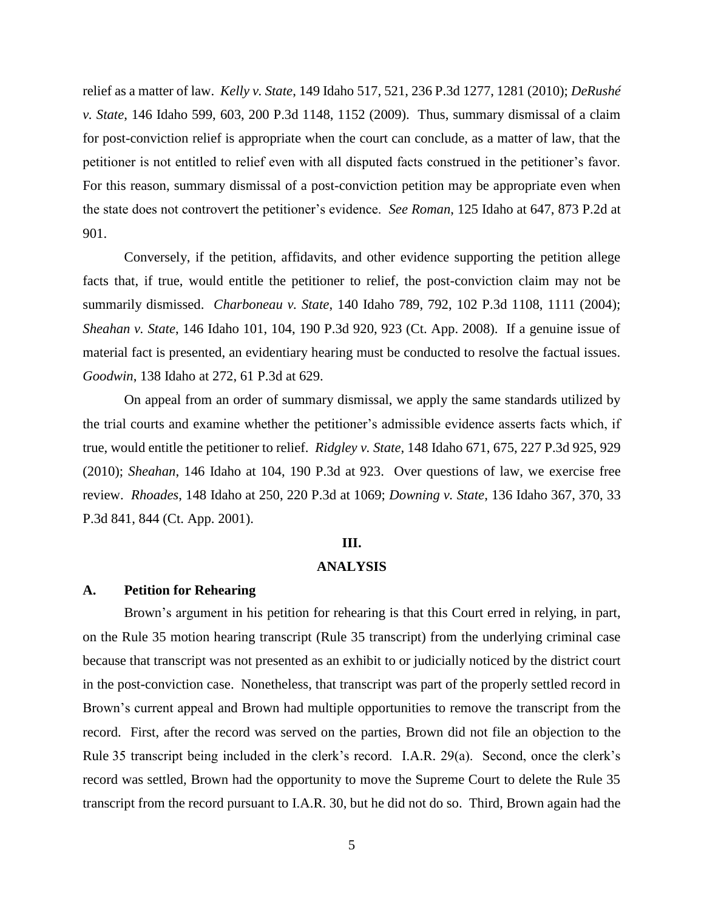relief as a matter of law. *Kelly v. State*, 149 Idaho 517, 521, 236 P.3d 1277, 1281 (2010); *DeRushé v. State*, 146 Idaho 599, 603, 200 P.3d 1148, 1152 (2009). Thus, summary dismissal of a claim for post-conviction relief is appropriate when the court can conclude, as a matter of law, that the petitioner is not entitled to relief even with all disputed facts construed in the petitioner's favor. For this reason, summary dismissal of a post-conviction petition may be appropriate even when the state does not controvert the petitioner's evidence. *See Roman*, 125 Idaho at 647, 873 P.2d at 901.

Conversely, if the petition, affidavits, and other evidence supporting the petition allege facts that, if true, would entitle the petitioner to relief, the post-conviction claim may not be summarily dismissed. *Charboneau v. State*, 140 Idaho 789, 792, 102 P.3d 1108, 1111 (2004); *Sheahan v. State*, 146 Idaho 101, 104, 190 P.3d 920, 923 (Ct. App. 2008). If a genuine issue of material fact is presented, an evidentiary hearing must be conducted to resolve the factual issues. *Goodwin*, 138 Idaho at 272, 61 P.3d at 629.

On appeal from an order of summary dismissal, we apply the same standards utilized by the trial courts and examine whether the petitioner's admissible evidence asserts facts which, if true, would entitle the petitioner to relief. *Ridgley v. State*, 148 Idaho 671, 675, 227 P.3d 925, 929 (2010); *Sheahan*, 146 Idaho at 104, 190 P.3d at 923. Over questions of law, we exercise free review. *Rhoades*, 148 Idaho at 250, 220 P.3d at 1069; *Downing v. State*, 136 Idaho 367, 370, 33 P.3d 841, 844 (Ct. App. 2001).

#### **III.**

### **ANALYSIS**

#### **A. Petition for Rehearing**

Brown's argument in his petition for rehearing is that this Court erred in relying, in part, on the Rule 35 motion hearing transcript (Rule 35 transcript) from the underlying criminal case because that transcript was not presented as an exhibit to or judicially noticed by the district court in the post-conviction case. Nonetheless, that transcript was part of the properly settled record in Brown's current appeal and Brown had multiple opportunities to remove the transcript from the record. First, after the record was served on the parties, Brown did not file an objection to the Rule 35 transcript being included in the clerk's record. I.A.R. 29(a). Second, once the clerk's record was settled, Brown had the opportunity to move the Supreme Court to delete the Rule 35 transcript from the record pursuant to I.A.R. 30, but he did not do so. Third, Brown again had the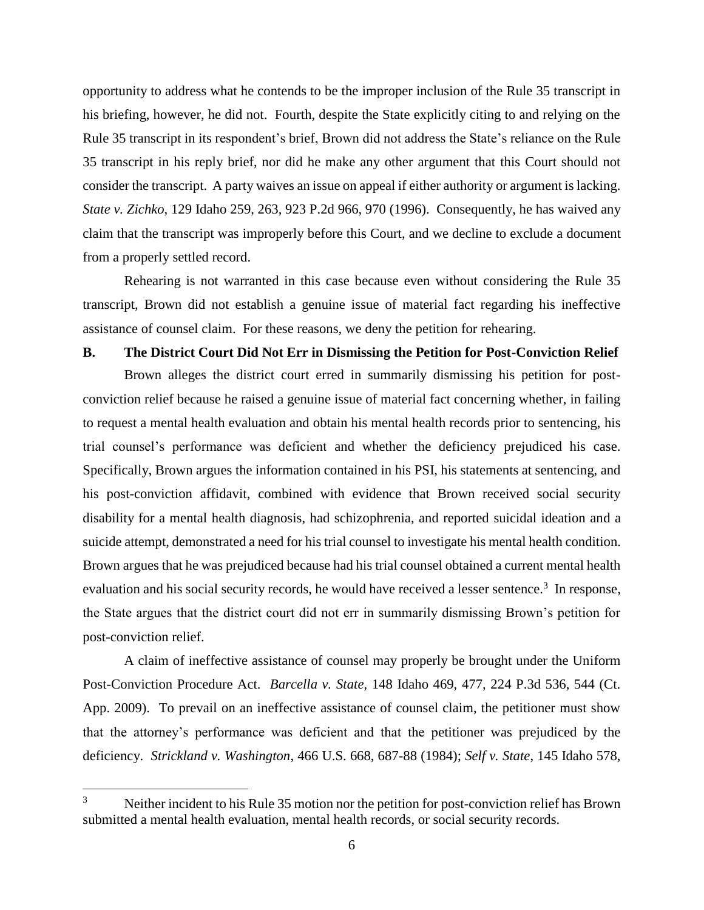opportunity to address what he contends to be the improper inclusion of the Rule 35 transcript in his briefing, however, he did not. Fourth, despite the State explicitly citing to and relying on the Rule 35 transcript in its respondent's brief, Brown did not address the State's reliance on the Rule 35 transcript in his reply brief, nor did he make any other argument that this Court should not consider the transcript. A party waives an issue on appeal if either authority or argument is lacking. *State v. Zichko*, 129 Idaho 259, 263, 923 P.2d 966, 970 (1996). Consequently, he has waived any claim that the transcript was improperly before this Court, and we decline to exclude a document from a properly settled record.

Rehearing is not warranted in this case because even without considering the Rule 35 transcript, Brown did not establish a genuine issue of material fact regarding his ineffective assistance of counsel claim. For these reasons, we deny the petition for rehearing.

## **B. The District Court Did Not Err in Dismissing the Petition for Post-Conviction Relief**

Brown alleges the district court erred in summarily dismissing his petition for postconviction relief because he raised a genuine issue of material fact concerning whether, in failing to request a mental health evaluation and obtain his mental health records prior to sentencing, his trial counsel's performance was deficient and whether the deficiency prejudiced his case. Specifically, Brown argues the information contained in his PSI, his statements at sentencing, and his post-conviction affidavit, combined with evidence that Brown received social security disability for a mental health diagnosis, had schizophrenia, and reported suicidal ideation and a suicide attempt, demonstrated a need for his trial counsel to investigate his mental health condition. Brown argues that he was prejudiced because had his trial counsel obtained a current mental health evaluation and his social security records, he would have received a lesser sentence.<sup>3</sup> In response, the State argues that the district court did not err in summarily dismissing Brown's petition for post-conviction relief.

A claim of ineffective assistance of counsel may properly be brought under the Uniform Post-Conviction Procedure Act. *Barcella v. State*, 148 Idaho 469, 477, 224 P.3d 536, 544 (Ct. App. 2009). To prevail on an ineffective assistance of counsel claim, the petitioner must show that the attorney's performance was deficient and that the petitioner was prejudiced by the deficiency. *Strickland v. Washington*, 466 U.S. 668, 687-88 (1984); *Self v. State*, 145 Idaho 578,

 $\overline{a}$ 

 $3$  Neither incident to his Rule 35 motion nor the petition for post-conviction relief has Brown submitted a mental health evaluation, mental health records, or social security records.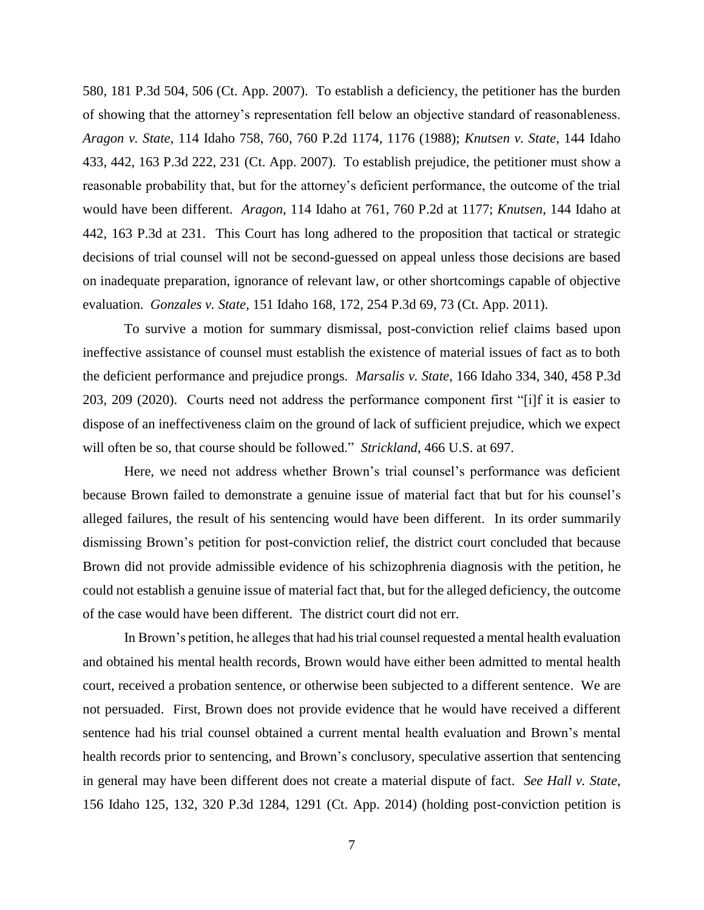580, 181 P.3d 504, 506 (Ct. App. 2007). To establish a deficiency, the petitioner has the burden of showing that the attorney's representation fell below an objective standard of reasonableness. *Aragon v. State*, 114 Idaho 758, 760, 760 P.2d 1174, 1176 (1988); *Knutsen v. State*, 144 Idaho 433, 442, 163 P.3d 222, 231 (Ct. App. 2007). To establish prejudice, the petitioner must show a reasonable probability that, but for the attorney's deficient performance, the outcome of the trial would have been different. *Aragon*, 114 Idaho at 761, 760 P.2d at 1177; *Knutsen*, 144 Idaho at 442, 163 P.3d at 231. This Court has long adhered to the proposition that tactical or strategic decisions of trial counsel will not be second-guessed on appeal unless those decisions are based on inadequate preparation, ignorance of relevant law, or other shortcomings capable of objective evaluation. *Gonzales v. State*, 151 Idaho 168, 172, 254 P.3d 69, 73 (Ct. App. 2011).

To survive a motion for summary dismissal, post-conviction relief claims based upon ineffective assistance of counsel must establish the existence of material issues of fact as to both the deficient performance and prejudice prongs. *Marsalis v. State*, 166 Idaho 334, 340, 458 P.3d 203, 209 (2020).Courts need not address the performance component first "[i]f it is easier to dispose of an ineffectiveness claim on the ground of lack of sufficient prejudice, which we expect will often be so, that course should be followed." *Strickland*, 466 U.S. at 697.

Here, we need not address whether Brown's trial counsel's performance was deficient because Brown failed to demonstrate a genuine issue of material fact that but for his counsel's alleged failures, the result of his sentencing would have been different. In its order summarily dismissing Brown's petition for post-conviction relief, the district court concluded that because Brown did not provide admissible evidence of his schizophrenia diagnosis with the petition, he could not establish a genuine issue of material fact that, but for the alleged deficiency, the outcome of the case would have been different. The district court did not err.

In Brown's petition, he alleges that had his trial counsel requested a mental health evaluation and obtained his mental health records, Brown would have either been admitted to mental health court, received a probation sentence, or otherwise been subjected to a different sentence. We are not persuaded. First, Brown does not provide evidence that he would have received a different sentence had his trial counsel obtained a current mental health evaluation and Brown's mental health records prior to sentencing, and Brown's conclusory, speculative assertion that sentencing in general may have been different does not create a material dispute of fact. *See Hall v. State*, 156 Idaho 125, 132, 320 P.3d 1284, 1291 (Ct. App. 2014) (holding post-conviction petition is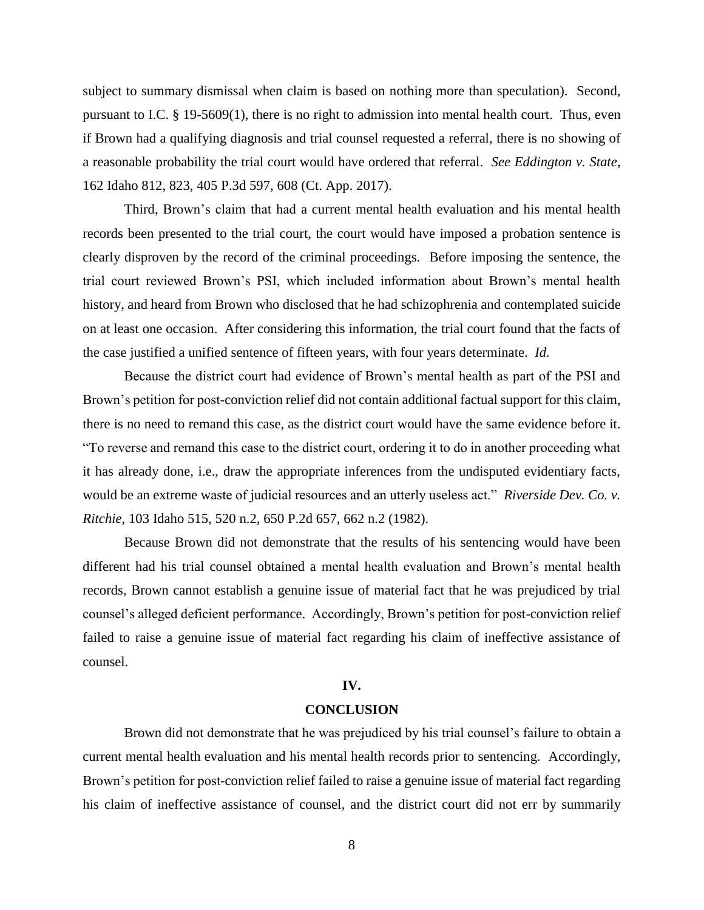subject to summary dismissal when claim is based on nothing more than speculation). Second, pursuant to I.C. § 19-5609(1), there is no right to admission into mental health court. Thus, even if Brown had a qualifying diagnosis and trial counsel requested a referral, there is no showing of a reasonable probability the trial court would have ordered that referral. *See Eddington v. State*, 162 Idaho 812, 823, 405 P.3d 597, 608 (Ct. App. 2017).

Third, Brown's claim that had a current mental health evaluation and his mental health records been presented to the trial court, the court would have imposed a probation sentence is clearly disproven by the record of the criminal proceedings. Before imposing the sentence, the trial court reviewed Brown's PSI, which included information about Brown's mental health history, and heard from Brown who disclosed that he had schizophrenia and contemplated suicide on at least one occasion. After considering this information, the trial court found that the facts of the case justified a unified sentence of fifteen years, with four years determinate. *Id.*

Because the district court had evidence of Brown's mental health as part of the PSI and Brown's petition for post-conviction relief did not contain additional factual support for this claim, there is no need to remand this case, as the district court would have the same evidence before it. "To reverse and remand this case to the district court, ordering it to do in another proceeding what it has already done, i.e., draw the appropriate inferences from the undisputed evidentiary facts, would be an extreme waste of judicial resources and an utterly useless act." *Riverside Dev. Co. v. Ritchie*, 103 Idaho 515, 520 n.2, 650 P.2d 657, 662 n.2 (1982).

Because Brown did not demonstrate that the results of his sentencing would have been different had his trial counsel obtained a mental health evaluation and Brown's mental health records, Brown cannot establish a genuine issue of material fact that he was prejudiced by trial counsel's alleged deficient performance. Accordingly, Brown's petition for post-conviction relief failed to raise a genuine issue of material fact regarding his claim of ineffective assistance of counsel.

#### **IV.**

### **CONCLUSION**

Brown did not demonstrate that he was prejudiced by his trial counsel's failure to obtain a current mental health evaluation and his mental health records prior to sentencing. Accordingly, Brown's petition for post-conviction relief failed to raise a genuine issue of material fact regarding his claim of ineffective assistance of counsel, and the district court did not err by summarily